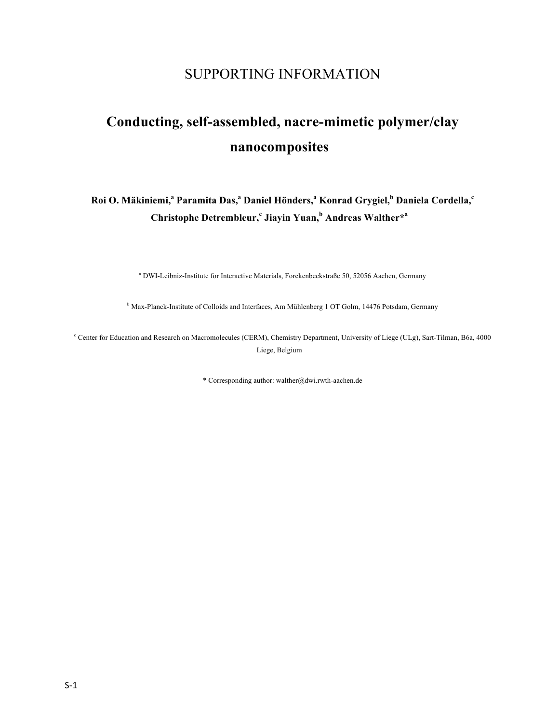## SUPPORTING INFORMATION

# **Conducting, self-assembled, nacre-mimetic polymer/clay nanocomposites**

### **Roi O. Mäkiniemi,<sup>a</sup> Paramita Das,<sup>a</sup> Daniel Hönders,<sup>a</sup> Konrad Grygiel,<sup>b</sup> Daniela Cordella,<sup>c</sup> Christophe Detrembleur,<sup>c</sup> Jiayin Yuan,<sup>b</sup> Andreas Walther\*<sup>a</sup>**

<sup>a</sup> DWI-Leibniz-Institute for Interactive Materials, Forckenbeckstraße 50, 52056 Aachen, Germany

<sup>b</sup> Max-Planck-Institute of Colloids and Interfaces, Am Mühlenberg 1 OT Golm, 14476 Potsdam, Germany

<sup>c</sup> Center for Education and Research on Macromolecules (CERM), Chemistry Department, University of Liege (ULg), Sart-Tilman, B6a, 4000 Liege, Belgium

\* Corresponding author: walther@dwi.rwth-aachen.de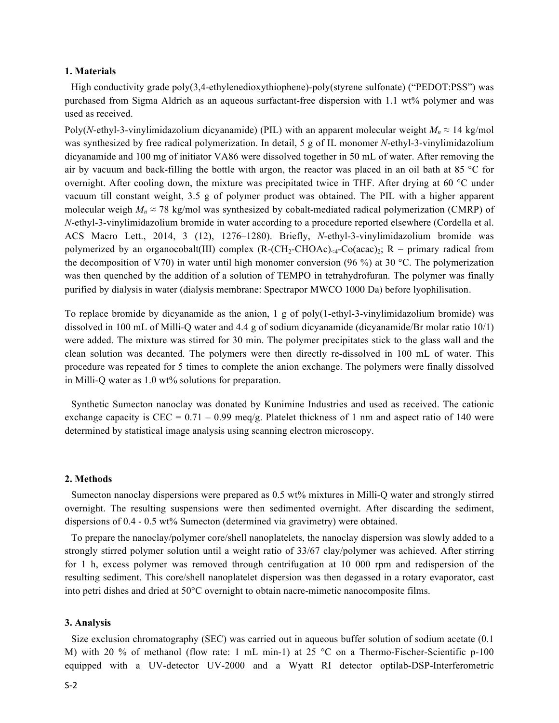#### **1. Materials**

High conductivity grade poly(3,4-ethylenedioxythiophene)-poly(styrene sulfonate) ("PEDOT:PSS") was purchased from Sigma Aldrich as an aqueous surfactant-free dispersion with 1.1 wt% polymer and was used as received.

Poly(*N*-ethyl-3-vinylimidazolium dicyanamide) (PIL) with an apparent molecular weight  $M_n \approx 14$  kg/mol was synthesized by free radical polymerization. In detail, 5 g of IL monomer *N*-ethyl-3-vinylimidazolium dicyanamide and 100 mg of initiator VA86 were dissolved together in 50 mL of water. After removing the air by vacuum and back-filling the bottle with argon, the reactor was placed in an oil bath at 85 °C for overnight. After cooling down, the mixture was precipitated twice in THF. After drying at 60 °C under vacuum till constant weight, 3.5 g of polymer product was obtained. The PIL with a higher apparent molecular weigh  $M_n \approx 78$  kg/mol was synthesized by cobalt-mediated radical polymerization (CMRP) of *N*-ethyl-3-vinylimidazolium bromide in water according to a procedure reported elsewhere (Cordella et al. ACS Macro Lett., 2014, 3 (12), 1276–1280). Briefly, *N*-ethyl-3-vinylimidazolium bromide was polymerized by an organocobalt(III) complex  $(R-(CH_2-CHOAc)<sub>4</sub>-Co(acac)<sub>2</sub>$ ;  $R =$  primary radical from the decomposition of V70) in water until high monomer conversion (96 %) at 30 °C. The polymerization was then quenched by the addition of a solution of TEMPO in tetrahydrofuran. The polymer was finally purified by dialysis in water (dialysis membrane: Spectrapor MWCO 1000 Da) before lyophilisation.

To replace bromide by dicyanamide as the anion, 1 g of poly(1-ethyl-3-vinylimidazolium bromide) was dissolved in 100 mL of Milli-Q water and 4.4 g of sodium dicyanamide (dicyanamide/Br molar ratio 10/1) were added. The mixture was stirred for 30 min. The polymer precipitates stick to the glass wall and the clean solution was decanted. The polymers were then directly re-dissolved in 100 mL of water. This procedure was repeated for 5 times to complete the anion exchange. The polymers were finally dissolved in Milli-Q water as 1.0 wt% solutions for preparation.

Synthetic Sumecton nanoclay was donated by Kunimine Industries and used as received. The cationic exchange capacity is CEC =  $0.71 - 0.99$  meq/g. Platelet thickness of 1 nm and aspect ratio of 140 were determined by statistical image analysis using scanning electron microscopy.

#### **2. Methods**

Sumecton nanoclay dispersions were prepared as 0.5 wt% mixtures in Milli-Q water and strongly stirred overnight. The resulting suspensions were then sedimented overnight. After discarding the sediment, dispersions of 0.4 - 0.5 wt% Sumecton (determined via gravimetry) were obtained.

To prepare the nanoclay/polymer core/shell nanoplatelets, the nanoclay dispersion was slowly added to a strongly stirred polymer solution until a weight ratio of 33/67 clay/polymer was achieved. After stirring for 1 h, excess polymer was removed through centrifugation at 10 000 rpm and redispersion of the resulting sediment. This core/shell nanoplatelet dispersion was then degassed in a rotary evaporator, cast into petri dishes and dried at 50°C overnight to obtain nacre-mimetic nanocomposite films.

#### **3. Analysis**

Size exclusion chromatography (SEC) was carried out in aqueous buffer solution of sodium acetate (0.1 M) with 20 % of methanol (flow rate: 1 mL min-1) at 25 °C on a Thermo-Fischer-Scientific p-100 equipped with a UV-detector UV-2000 and a Wyatt RI detector optilab-DSP-Interferometric